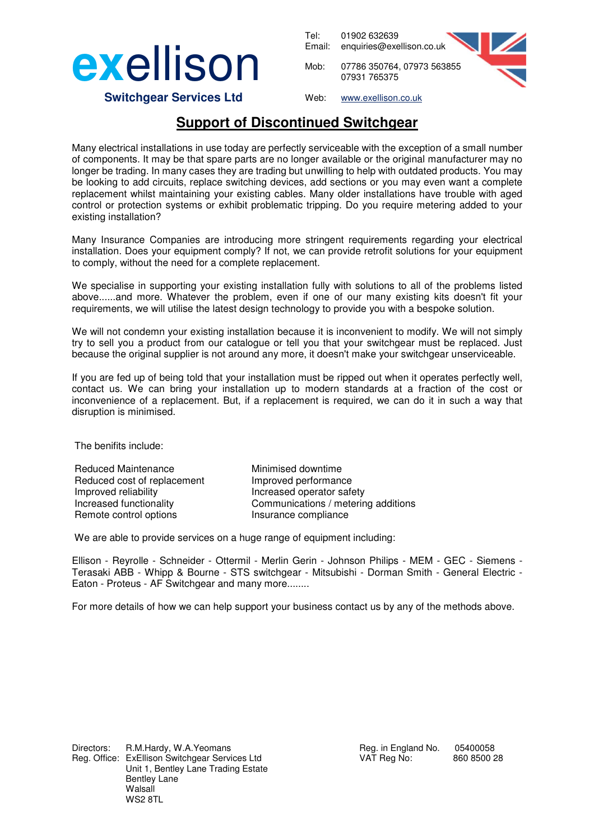

Tel: 01902 632639 Email: enquiries@exellison.co.uk



 **Switchgear Services Ltd**

Web: www.exellison.co.uk

07931 765375

## **Support of Discontinued Switchgear**

Many electrical installations in use today are perfectly serviceable with the exception of a small number of components. It may be that spare parts are no longer available or the original manufacturer may no longer be trading. In many cases they are trading but unwilling to help with outdated products. You may be looking to add circuits, replace switching devices, add sections or you may even want a complete replacement whilst maintaining your existing cables. Many older installations have trouble with aged control or protection systems or exhibit problematic tripping. Do you require metering added to your existing installation?

Many Insurance Companies are introducing more stringent requirements regarding your electrical installation. Does your equipment comply? If not, we can provide retrofit solutions for your equipment to comply, without the need for a complete replacement.

We specialise in supporting your existing installation fully with solutions to all of the problems listed above......and more. Whatever the problem, even if one of our many existing kits doesn't fit your requirements, we will utilise the latest design technology to provide you with a bespoke solution.

We will not condemn your existing installation because it is inconvenient to modify. We will not simply try to sell you a product from our catalogue or tell you that your switchgear must be replaced. Just because the original supplier is not around any more, it doesn't make your switchgear unserviceable.

If you are fed up of being told that your installation must be ripped out when it operates perfectly well, contact us. We can bring your installation up to modern standards at a fraction of the cost or inconvenience of a replacement. But, if a replacement is required, we can do it in such a way that disruption is minimised.

The benifits include:

Reduced Maintenance Minimised downtime Reduced cost of replacement Improved performance Improved reliability **Increased operator safety** Remote control options **Insurance compliance** 

Increased functionality Communications / metering additions

We are able to provide services on a huge range of equipment including:

Ellison - Reyrolle - Schneider - Ottermil - Merlin Gerin - Johnson Philips - MEM - GEC - Siemens - Terasaki ABB - Whipp & Bourne - STS switchgear - Mitsubishi - Dorman Smith - General Electric - Eaton - Proteus - AF Switchgear and many more........

For more details of how we can help support your business contact us by any of the methods above.

Directors: R.M.Hardy, W.A.Yeomans Reg. in England No. 05400058 Reg. Office: ExEllison Switchgear Services Ltd VAT Reg No: 860 8500 28 Unit 1, Bentley Lane Trading Estate Bentley Lane Walsall WS2 8TL